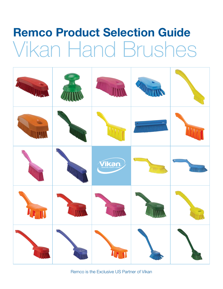# Remco Product Selection Guide Vikan Hand Brushes



Remco is the Exclusive US Partner of Vikan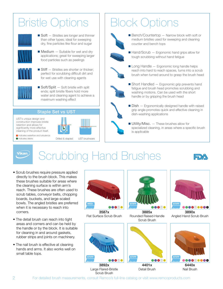### Bristle Options



 $\blacksquare$  Soft  $-$  Bristles are longer and thinner than other types; ideal for sweeping dry, fine particles like flour and sugar



 $\blacksquare$  Medium  $-$  Suitable for wet and dry applications; great for sweeping larger food particles such as peelings



 $\blacksquare$  Stiff  $\blacksquare$  Bristles are shorter or thicker: perfect for scrubbing difficult dirt and for wet use with cleaning agents



 $\blacksquare$  Soft/Split  $-$  Soft bristle with split ends; split bristle fibers hold more water and cleaning agent to achieve a maximum washing effect

### Staple Set vs UST

UST's unique design and construction improves bristle retention and allows for significantly more effective cleaning of the product itself.

Indicates waterflow and turbulence



### Block Options



 $\blacksquare$  Bench/Countertop  $-$  Narrow block with soft or medium bristles used for sweeping and cleaning counter and bench tops



- $\blacksquare$  Hand/Scrub  $-$  Ergonomic hand grips allow for tough scrubbing without hand fatigue
- $\blacksquare$  Long Handle  $-$  Ergonomic long handle helps reach into hard to reach spaces, turns into a scrub brush when turned around to grasp the brush head



 $\blacksquare$  Short Handled  $-$  Ergonomic grip prevents hand fatigue and brush head promotes scrubbing and washing motions. Can be used with the short handle or by gripping the brush head



- $\blacksquare$  Dish  $-$  Ergonomically designed handle with raised grip angle promotes quick and effective cleaning in dish-washing applications
- $\blacksquare$  Utility/Misc.  $-$  These brushes allow for specialized cleaning, in areas where a specific brush is applicable

**Vikan** 

Indicates debris

### Scrubbing Hand Brushes



- Scrub brushes require pressure applied directly to the brush block. This makes these brushes suitable for areas where the cleaning surface is within arm's reach. These brushes are often used to scrub tables, conveyor belts, chopping boards, buckets, and large-scaled bowls. The angled bristles are preferred when it is necessary to reach into corners.
- The detail brush can reach into tight areas and corners and can be held by the handle or by the block. It is suitable for cleaning in and around gaskets, rubber strips and joints on machinery.
- The nail brush is effective at cleaning hands and arms. It also works well on small table tops.



Large Flared-Bristle Scrub Brush

Detail Brush



6440x Nail Brush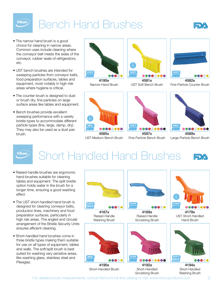## Bench Hand Brushes



- The narrow hand brush is a good choice for cleaning in narrow areas. Common uses include cleaning where the conveyor belt meets the sides of the conveyor, rubber seals of refrigerators, etc.
- UST bench brushes are intended for sweeping particles from conveyor belts. food preparation surfaces, tables and equipment, most notably in high-risk areas where hygiene is critical.
- The counter brush is designed to dust or brush dry, fine particles on large surface areas like tables and equipment.
- Bench brushes provide excellent sweeping performance with a variety bristle types to accommodate different particle types (fine, large, damp, dry). They may also be used as a dust pan brush.



4195x Narrow Hand Brush



4581x UST Soft Bench Brush



4582x Fine-Particle Counter Brush



UST Medium Bench Brush



4587x Fine-Particle Bench Brush



Large-Particle Bench Brush

Vikan.

Vikan.

### Short Handled Hand Brushes **EDX**

- Raised-handle brushes are ergonomic hand brushes suitable for cleaning tables and equipment. The split bristle option holds water in the brush for a longer time, ensuring a good washing effect.
- The UST short-handled hand brush is designed for cleaning conveyor belts, production lines, machinery and food preparation surfaces, particularly in high risk areas. The angled and circular arrangement of the Bristle Security Units ensures efficient cleaning.
- Short-handled hand brushes come in three bristle types making them suitable for use on all types of equipment, tables and walls. The soft/split brush is best suited for washing very sensitive areas, like washing glass, stainless steel and Plexiglas.